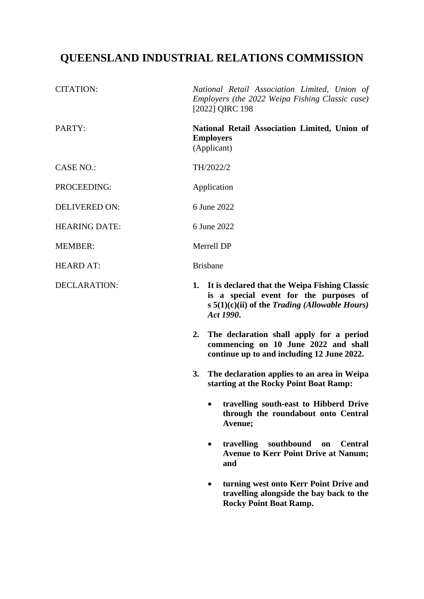# **QUEENSLAND INDUSTRIAL RELATIONS COMMISSION**

| <b>CITATION:</b>     | National Retail Association Limited, Union of<br>Employers (the 2022 Weipa Fishing Classic case)<br>[2022] QIRC 198                                                |
|----------------------|--------------------------------------------------------------------------------------------------------------------------------------------------------------------|
| PARTY:               | National Retail Association Limited, Union of<br><b>Employers</b><br>(Applicant)                                                                                   |
| <b>CASE NO.:</b>     | TH/2022/2                                                                                                                                                          |
| PROCEEDING:          | Application                                                                                                                                                        |
| <b>DELIVERED ON:</b> | 6 June 2022                                                                                                                                                        |
| <b>HEARING DATE:</b> | 6 June 2022                                                                                                                                                        |
| <b>MEMBER:</b>       | Merrell DP                                                                                                                                                         |
| <b>HEARD AT:</b>     | <b>Brisbane</b>                                                                                                                                                    |
| <b>DECLARATION:</b>  | 1. It is declared that the Weipa Fishing Classic<br>is a special event for the purposes of<br>s $5(1)(c)(ii)$ of the <i>Trading (Allowable Hours)</i><br>Act 1990. |
|                      | 2. The declaration shall apply for a period<br>commencing on 10 June 2022 and shall<br>continue up to and including 12 June 2022.                                  |
|                      | The declaration applies to an area in Weipa<br>3.<br>starting at the Rocky Point Boat Ramp:                                                                        |
|                      | travelling south-east to Hibberd Drive<br>through the roundabout onto Central<br>Avenue;                                                                           |
|                      | travelling<br>southbound<br><b>Central</b><br>on<br><b>Avenue to Kerr Point Drive at Nanum;</b><br>and                                                             |
|                      | turning west onto Kerr Point Drive and<br>travelling alongside the bay back to the<br><b>Rocky Point Boat Ramp.</b>                                                |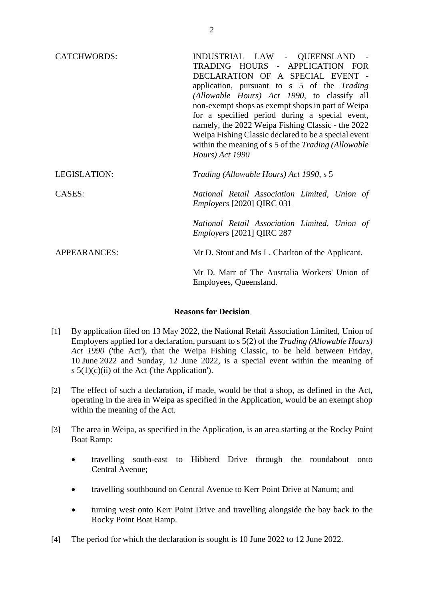| <b>CATCHWORDS:</b>  | INDUSTRIAL LAW - QUEENSLAND -<br>TRADING HOURS - APPLICATION FOR<br>DECLARATION OF A SPECIAL EVENT -<br>application, pursuant to s 5 of the Trading<br>(Allowable Hours) Act 1990, to classify all<br>non-exempt shops as exempt shops in part of Weipa<br>for a specified period during a special event,<br>namely, the 2022 Weipa Fishing Classic - the 2022<br>Weipa Fishing Classic declared to be a special event<br>within the meaning of s 5 of the Trading (Allowable<br>Hours) Act 1990 |
|---------------------|--------------------------------------------------------------------------------------------------------------------------------------------------------------------------------------------------------------------------------------------------------------------------------------------------------------------------------------------------------------------------------------------------------------------------------------------------------------------------------------------------|
| LEGISLATION:        | Trading (Allowable Hours) Act 1990, s 5                                                                                                                                                                                                                                                                                                                                                                                                                                                          |
| CASES:              | National Retail Association Limited, Union of<br>Employers [2020] QIRC 031                                                                                                                                                                                                                                                                                                                                                                                                                       |
|                     | National Retail Association Limited, Union of<br><i>Employers</i> [2021] QIRC 287                                                                                                                                                                                                                                                                                                                                                                                                                |
| <b>APPEARANCES:</b> | Mr D. Stout and Ms L. Charlton of the Applicant.                                                                                                                                                                                                                                                                                                                                                                                                                                                 |
|                     | Mr D. Marr of The Australia Workers' Union of<br>Employees, Queensland.                                                                                                                                                                                                                                                                                                                                                                                                                          |

## **Reasons for Decision**

- [1] By application filed on 13 May 2022, the National Retail Association Limited, Union of Employers applied for a declaration, pursuant to s 5(2) of the *Trading (Allowable Hours) Act 1990* ('the Act'), that the Weipa Fishing Classic, to be held between Friday, 10 June 2022 and Sunday, 12 June 2022, is a special event within the meaning of s  $5(1)(c)(ii)$  of the Act ('the Application').
- [2] The effect of such a declaration, if made, would be that a shop, as defined in the Act, operating in the area in Weipa as specified in the Application, would be an exempt shop within the meaning of the Act.
- [3] The area in Weipa, as specified in the Application, is an area starting at the Rocky Point Boat Ramp:
	- travelling south-east to Hibberd Drive through the roundabout onto Central Avenue;
	- travelling southbound on Central Avenue to Kerr Point Drive at Nanum; and
	- turning west onto Kerr Point Drive and travelling alongside the bay back to the Rocky Point Boat Ramp.
- [4] The period for which the declaration is sought is 10 June 2022 to 12 June 2022.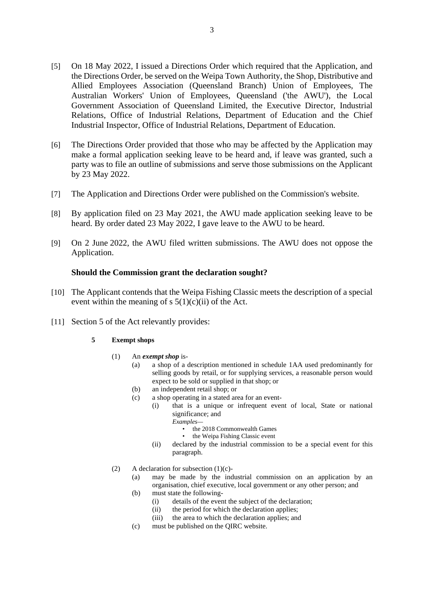- [5] On 18 May 2022, I issued a Directions Order which required that the Application, and the Directions Order, be served on the Weipa Town Authority, the Shop, Distributive and Allied Employees Association (Queensland Branch) Union of Employees, The Australian Workers' Union of Employees, Queensland ('the AWU'), the Local Government Association of Queensland Limited, the Executive Director, Industrial Relations, Office of Industrial Relations, Department of Education and the Chief Industrial Inspector, Office of Industrial Relations, Department of Education.
- [6] The Directions Order provided that those who may be affected by the Application may make a formal application seeking leave to be heard and, if leave was granted, such a party was to file an outline of submissions and serve those submissions on the Applicant by 23 May 2022.
- [7] The Application and Directions Order were published on the Commission's website.
- [8] By application filed on 23 May 2021, the AWU made application seeking leave to be heard. By order dated 23 May 2022, I gave leave to the AWU to be heard.
- [9] On 2 June 2022, the AWU filed written submissions. The AWU does not oppose the Application.

#### **Should the Commission grant the declaration sought?**

- [10] The Applicant contends that the Weipa Fishing Classic meets the description of a special event within the meaning of s  $5(1)(c)(ii)$  of the Act.
- [11] Section 5 of the Act relevantly provides:

#### **5 Exempt shops**

- (1) An *exempt shop* is-
	- (a) a shop of a description mentioned in schedule 1AA used predominantly for selling goods by retail, or for supplying services, a reasonable person would expect to be sold or supplied in that shop; or
	- (b) an independent retail shop; or
	- (c) a shop operating in a stated area for an event-
		- (i) that is a unique or infrequent event of local, State or national significance; and
			- *Examples—*
				- the 2018 Commonwealth Games
				- the Weipa Fishing Classic event
			- (ii) declared by the industrial commission to be a special event for this paragraph.
- (2) A declaration for subsection  $(1)(c)$ -
	- (a) may be made by the industrial commission on an application by an organisation, chief executive, local government or any other person; and
	- (b) must state the following-
		- (i) details of the event the subject of the declaration;
		- (ii) the period for which the declaration applies;
		- (iii) the area to which the declaration applies; and
	- (c) must be published on the QIRC website.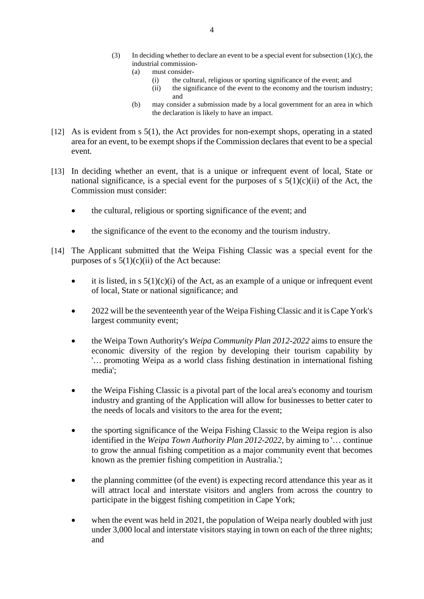- (3) In deciding whether to declare an event to be a special event for subsection  $(1)(c)$ , the industrial commission-
	- (a) must consider-
		- (i) the cultural, religious or sporting significance of the event; and
		- (ii) the significance of the event to the economy and the tourism industry; and
	- (b) may consider a submission made by a local government for an area in which the declaration is likely to have an impact.
- [12] As is evident from s 5(1), the Act provides for non-exempt shops, operating in a stated area for an event, to be exempt shops if the Commission declares that event to be a special event*.*
- [13] In deciding whether an event, that is a unique or infrequent event of local, State or national significance, is a special event for the purposes of s  $5(1)(c)(ii)$  of the Act, the Commission must consider:
	- the cultural, religious or sporting significance of the event; and
	- the significance of the event to the economy and the tourism industry.
- [14] The Applicant submitted that the Weipa Fishing Classic was a special event for the purposes of s  $5(1)(c)(ii)$  of the Act because:
	- it is listed, in  $s \, 5(1)(c)(i)$  of the Act, as an example of a unique or infrequent event of local, State or national significance; and
	- 2022 will be the seventeenth year of the Weipa Fishing Classic and it is Cape York's largest community event;
	- the Weipa Town Authority's *Weipa Community Plan 2012-2022* aims to ensure the economic diversity of the region by developing their tourism capability by '… promoting Weipa as a world class fishing destination in international fishing media';
	- the Weipa Fishing Classic is a pivotal part of the local area's economy and tourism industry and granting of the Application will allow for businesses to better cater to the needs of locals and visitors to the area for the event;
	- the sporting significance of the Weipa Fishing Classic to the Weipa region is also identified in the *Weipa Town Authority Plan 2012-2022*, by aiming to '… continue to grow the annual fishing competition as a major community event that becomes known as the premier fishing competition in Australia.';
	- the planning committee (of the event) is expecting record attendance this year as it will attract local and interstate visitors and anglers from across the country to participate in the biggest fishing competition in Cape York;
	- when the event was held in 2021, the population of Weipa nearly doubled with just under 3,000 local and interstate visitors staying in town on each of the three nights; and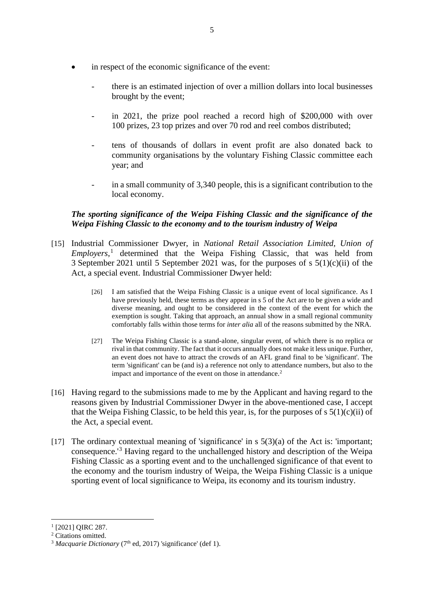- in respect of the economic significance of the event:
	- there is an estimated injection of over a million dollars into local businesses brought by the event;
	- in 2021, the prize pool reached a record high of \$200,000 with over 100 prizes, 23 top prizes and over 70 rod and reel combos distributed;
	- tens of thousands of dollars in event profit are also donated back to community organisations by the voluntary Fishing Classic committee each year; and
	- in a small community of 3,340 people, this is a significant contribution to the local economy.

## *The sporting significance of the Weipa Fishing Classic and the significance of the Weipa Fishing Classic to the economy and to the tourism industry of Weipa*

- [15] Industrial Commissioner Dwyer, in *National Retail Association Limited, Union of Employers*, [1](#page-4-0) determined that the Weipa Fishing Classic, that was held from 3 September 2021 until 5 September 2021 was, for the purposes of s 5(1)(c)(ii) of the Act, a special event. Industrial Commissioner Dwyer held:
	- [26] I am satisfied that the Weipa Fishing Classic is a unique event of local significance. As I have previously held, these terms as they appear in s 5 of the Act are to be given a wide and diverse meaning, and ought to be considered in the context of the event for which the exemption is sought. Taking that approach, an annual show in a small regional community comfortably falls within those terms for *inter alia* all of the reasons submitted by the NRA.
	- [27] The Weipa Fishing Classic is a stand-alone, singular event, of which there is no replica or rival in that community. The fact that it occurs annually does not make it less unique. Further, an event does not have to attract the crowds of an AFL grand final to be 'significant'. The term 'significant' can be (and is) a reference not only to attendance numbers, but also to the impact and importance of the event on those in attendance.<sup>[2](#page-4-1)</sup>
- [16] Having regard to the submissions made to me by the Applicant and having regard to the reasons given by Industrial Commissioner Dwyer in the above-mentioned case, I accept that the Weipa Fishing Classic, to be held this year, is, for the purposes of s  $5(1)(c)(ii)$  of the Act, a special event.
- [17] The ordinary contextual meaning of 'significance' in  $s \frac{5(3)}{a}$  of the Act is: 'important; consequence.'[3](#page-4-2) Having regard to the unchallenged history and description of the Weipa Fishing Classic as a sporting event and to the unchallenged significance of that event to the economy and the tourism industry of Weipa, the Weipa Fishing Classic is a unique sporting event of local significance to Weipa, its economy and its tourism industry.

<span id="page-4-0"></span><sup>&</sup>lt;sup>1</sup> [2021] OIRC 287.

<span id="page-4-1"></span><sup>&</sup>lt;sup>2</sup> Citations omitted.

<span id="page-4-2"></span><sup>&</sup>lt;sup>3</sup> *Macquarie Dictionary* (7<sup>th</sup> ed, 2017) 'significance' (def 1).